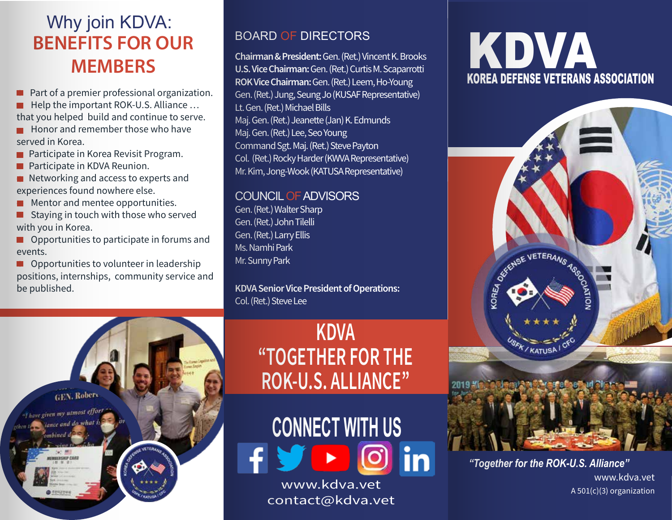## **BENEFITS FOR OUR MEMBERS** Why join KDVA:

- Part of a premier professional organization.
- $\blacksquare$  Help the important ROK-U.S. Alliance ...
- that you helped build and continue to serve.
- $\blacksquare$  Honor and remember those who have served in Korea.
- $\blacksquare$  Participate in Korea Revisit Program.
- Participate in KDVA Reunion.
- $\blacksquare$  Networking and access to experts and experiences found nowhere else.
- Mentor and mentee opportunities.
- Staying in touch with those who served with you in Korea.
- Opportunities to participate in forums and events.
- **Opportunities to volunteer in leadership** positions, internships, community service and be published.

#### BOARD OF DIRECTORS

Chairman & President: Gen. (Ret.) Vincent K. Brooks U.S. Vice Chairman: Gen. (Ret.) Curtis M. Scaparrotti ROK Vice Chairman: Gen. (Ret.) Leem, Ho-Young Gen. (Ret.) Jung, Seung Jo (KUSAF Representative) Lt. Gen. (Ret.) Michael Bills Maj. Gen. (Ret.) Jeanette (Jan) K. Edmunds Maj. Gen. (Ret.) Lee, Seo Young Command Sgt. Maj. (Ret.) Steve Payton Col. (Ret.) Rocky Harder (KWVA Representative) Mr. Kim, Jong-Wook (KATUSA Representative)

#### COUNCIL OF ADVISORS

Gen. (Ret.) Walter Sharp Gen. (Ret.) John Tilelli Gen. (Ret.) Larry Ellis Ms. Namhi Park Mr. Sunny Park

**KDVA Senior Vice President of Operations:** Col. (Ret.) Steve Lee

# **GEN. Robert** "I have given my utmost effort lance and do what

## **KDVA "TOGETHER FOR THE ROK-U.S. ALLIANCE'**

**CONNECT WITH US** www.kdva.vet

contact@kdva.vet

# KOREA DEFENSE VETERANS ASSOCIATION KDVA



*"Together for the ROK-U.S. Alliance"* www.kdva.vet A 501(c)(3) organization